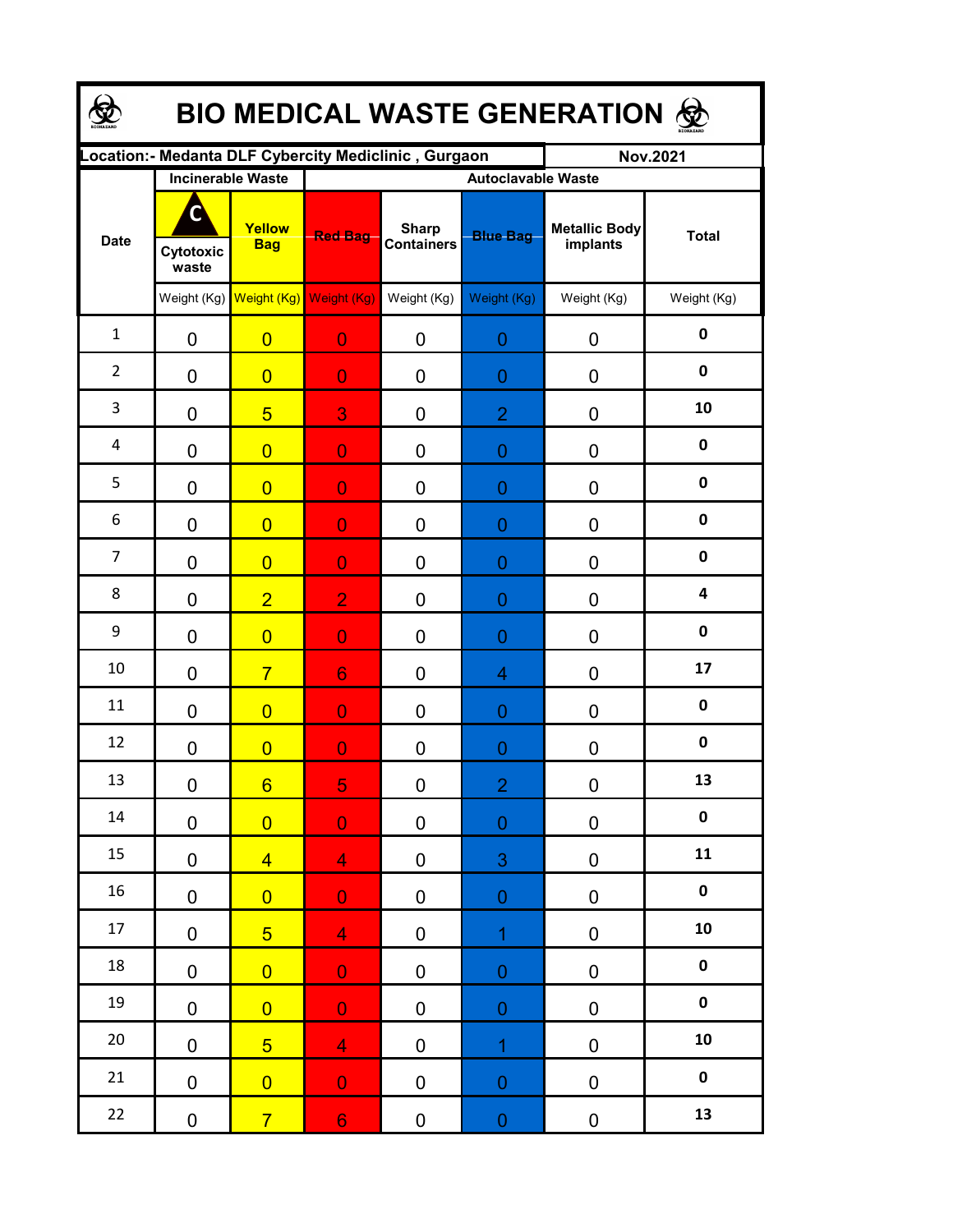| <b>BIO MEDICAL WASTE GENERATION ®</b> |                          |                                     |                                                      |                                   |                           |                                  |              |  |  |  |  |
|---------------------------------------|--------------------------|-------------------------------------|------------------------------------------------------|-----------------------------------|---------------------------|----------------------------------|--------------|--|--|--|--|
|                                       |                          |                                     | Location:- Medanta DLF Cybercity Mediclinic, Gurgaon |                                   |                           | <b>Nov.2021</b>                  |              |  |  |  |  |
|                                       | <b>Incinerable Waste</b> |                                     |                                                      |                                   | <b>Autoclavable Waste</b> |                                  |              |  |  |  |  |
| <b>Date</b>                           | Cytotoxic<br>waste       | Yellow<br><b>Bag</b>                | <b>Red Bag</b>                                       | <b>Sharp</b><br><b>Containers</b> | <b>Blue Bag</b>           | <b>Metallic Body</b><br>implants | <b>Total</b> |  |  |  |  |
|                                       |                          | Weight (Kg) Weight (Kg) Weight (Kg) |                                                      | Weight (Kg)                       | Weight (Kg)               | Weight (Kg)                      | Weight (Kg)  |  |  |  |  |
| $\mathbf{1}$                          | $\mathbf 0$              | $\overline{0}$                      | $\overline{0}$                                       | 0                                 | $\overline{0}$            | 0                                | $\pmb{0}$    |  |  |  |  |
| $\overline{2}$                        | $\mathbf 0$              | $\overline{0}$                      | $\overline{0}$                                       | $\overline{0}$                    | $\overline{0}$            | 0                                | $\mathbf 0$  |  |  |  |  |
| 3                                     | $\mathbf 0$              | $\overline{5}$                      | 3                                                    | 0                                 | $\overline{2}$            | 0                                | 10           |  |  |  |  |
| 4                                     | $\mathbf 0$              | $\overline{0}$                      | $\overline{0}$                                       | $\overline{0}$                    | $\overline{0}$            | 0                                | $\mathbf 0$  |  |  |  |  |
| 5                                     | $\mathbf 0$              | $\overline{0}$                      | $\overline{0}$                                       | $\overline{0}$                    | $\overline{0}$            | 0                                | $\pmb{0}$    |  |  |  |  |
| 6                                     | $\mathbf 0$              | $\overline{0}$                      | $\overline{0}$                                       | 0                                 | $\overline{0}$            | 0                                | $\mathbf 0$  |  |  |  |  |
| $\overline{7}$                        | $\overline{0}$           | $\overline{0}$                      | $\overline{0}$                                       | 0                                 | $\overline{0}$            | 0                                | $\mathbf 0$  |  |  |  |  |
| 8                                     | $\mathbf 0$              | $\overline{2}$                      | $\overline{2}$                                       | $\overline{0}$                    | $\overline{0}$            | 0                                | 4            |  |  |  |  |
| 9                                     | $\mathbf 0$              | $\overline{0}$                      | $\overline{0}$                                       | 0                                 | $\overline{0}$            | 0                                | $\mathbf 0$  |  |  |  |  |
| 10                                    | $\mathbf 0$              | $\overline{7}$                      | 6                                                    | 0                                 | 4                         | 0                                | 17           |  |  |  |  |
| 11                                    | $\overline{0}$           | $\overline{0}$                      | $\overline{0}$                                       | $\overline{0}$                    | $\overline{0}$            | 0                                | $\mathbf 0$  |  |  |  |  |
| 12                                    | $\mathbf 0$              | $\overline{0}$                      | $\overline{0}$                                       | 0                                 | $\overline{0}$            | 0                                | $\pmb{0}$    |  |  |  |  |
| 13                                    | $\pmb{0}$                | $6 \overline{}$                     | 5                                                    | 0                                 | $\overline{2}$            | 0                                | 13           |  |  |  |  |
| $14\,$                                | $\pmb{0}$                | $\overline{0}$                      | $\overline{\mathbf{0}}$                              | $\pmb{0}$                         | $\boldsymbol{0}$          | $\pmb{0}$                        | $\pmb{0}$    |  |  |  |  |
| 15                                    | $\pmb{0}$                | $\overline{4}$                      | $\overline{4}$                                       | 0                                 | 3                         | $\pmb{0}$                        | 11           |  |  |  |  |
| $16\,$                                | $\pmb{0}$                | $\overline{0}$                      | $\mathbf{0}^-$                                       | $\pmb{0}$                         | $\boldsymbol{0}$          | $\pmb{0}$                        | $\pmb{0}$    |  |  |  |  |
| 17                                    | $\pmb{0}$                | 5 <sup>5</sup>                      | $\overline{4}$                                       | $\pmb{0}$                         | $\overline{1}$            | $\pmb{0}$                        | ${\bf 10}$   |  |  |  |  |
| 18                                    | $\pmb{0}$                | $\overline{0}$                      | $\mathbf{O}$                                         | $\pmb{0}$                         | $\boldsymbol{0}$          | $\pmb{0}$                        | $\pmb{0}$    |  |  |  |  |
| 19                                    | $\pmb{0}$                | $\overline{0}$                      | $\mathbf{0}$                                         | $\pmb{0}$                         | $\boldsymbol{0}$          | $\pmb{0}$                        | $\pmb{0}$    |  |  |  |  |
| 20                                    | $\pmb{0}$                | 5 <sup>5</sup>                      | 4 <sup>1</sup>                                       | $\pmb{0}$                         | $\overline{1}$            | $\pmb{0}$                        | ${\bf 10}$   |  |  |  |  |
| 21                                    | $\mathbf 0$              | $\overline{0}$                      | $\mathbf{0}$                                         | $\pmb{0}$                         | $\boldsymbol{0}$          | $\pmb{0}$                        | $\pmb{0}$    |  |  |  |  |
| 22                                    | $\pmb{0}$                | $\overline{7}$                      | 6 <sub>1</sub>                                       | 0                                 | ${\bf 0}$                 | $\pmb{0}$                        | 13           |  |  |  |  |